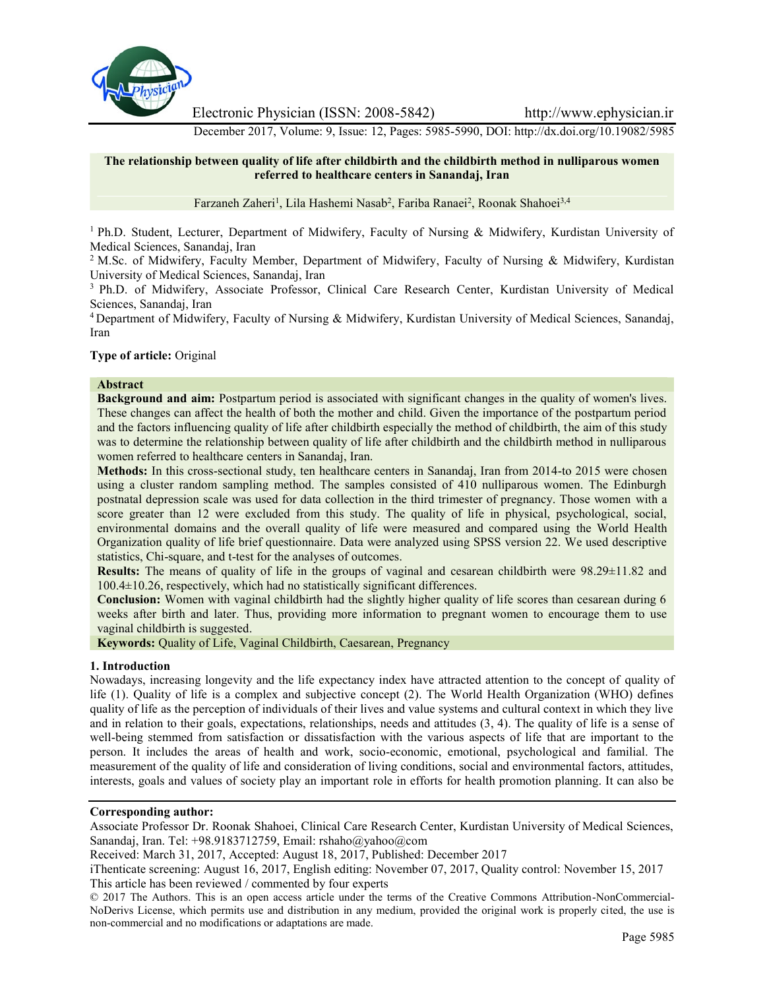

Electronic Physician (ISSN: 2008-5842) http://www.ephysician.ir

December 2017, Volume: 9, Issue: 12, Pages: 5985-5990, DOI: http://dx.doi.org/10.19082/5985

## **The relationship between quality of life after childbirth and the childbirth method in nulliparous women referred to healthcare centers in Sanandaj, Iran**

Farzaneh Zaheri<sup>1</sup>, Lila Hashemi Nasab<sup>2</sup>, Fariba Ranaei<sup>2</sup>, Roonak Shahoei<sup>3,4</sup>

<sup>1</sup> Ph.D. Student, Lecturer, Department of Midwifery, Faculty of Nursing & Midwifery, Kurdistan University of Medical Sciences, Sanandaj, Iran

<sup>2</sup> M.Sc. of Midwifery, Faculty Member, Department of Midwifery, Faculty of Nursing & Midwifery, Kurdistan University of Medical Sciences, Sanandaj, Iran

<sup>3</sup> Ph.D. of Midwifery, Associate Professor, Clinical Care Research Center, Kurdistan University of Medical Sciences, Sanandaj, Iran

<sup>4</sup> Department of Midwifery, Faculty of Nursing & Midwifery, Kurdistan University of Medical Sciences, Sanandaj, Iran

**Type of article:** Original

### **Abstract**

**Background and aim:** Postpartum period is associated with significant changes in the quality of women's lives. These changes can affect the health of both the mother and child. Given the importance of the postpartum period and the factors influencing quality of life after childbirth especially the method of childbirth, the aim of this study was to determine the relationship between quality of life after childbirth and the childbirth method in nulliparous women referred to healthcare centers in Sanandaj, Iran.

**Methods:** In this cross-sectional study, ten healthcare centers in Sanandaj, Iran from 2014-to 2015 were chosen using a cluster random sampling method. The samples consisted of 410 nulliparous women. The Edinburgh postnatal depression scale was used for data collection in the third trimester of pregnancy. Those women with a score greater than 12 were excluded from this study. The quality of life in physical, psychological, social, environmental domains and the overall quality of life were measured and compared using the World Health Organization quality of life brief questionnaire. Data were analyzed using SPSS version 22. We used descriptive statistics, Chi-square, and t-test for the analyses of outcomes.

**Results:** The means of quality of life in the groups of vaginal and cesarean childbirth were 98.29±11.82 and 100.4±10.26, respectively, which had no statistically significant differences.

**Conclusion:** Women with vaginal childbirth had the slightly higher quality of life scores than cesarean during 6 weeks after birth and later. Thus, providing more information to pregnant women to encourage them to use vaginal childbirth is suggested.

**Keywords:** Quality of Life, Vaginal Childbirth, Caesarean, Pregnancy

## **1. Introduction**

Nowadays, increasing longevity and the life expectancy index have attracted attention to the concept of quality of life (1). Quality of life is a complex and subjective concept (2). The World Health Organization (WHO) defines quality of life as the perception of individuals of their lives and value systems and cultural context in which they live and in relation to their goals, expectations, relationships, needs and attitudes (3, 4). The quality of life is a sense of well-being stemmed from satisfaction or dissatisfaction with the various aspects of life that are important to the person. It includes the areas of health and work, socio-economic, emotional, psychological and familial. The measurement of the quality of life and consideration of living conditions, social and environmental factors, attitudes, interests, goals and values of society play an important role in efforts for health promotion planning. It can also be

## **Corresponding author:**

Associate Professor Dr. Roonak Shahoei, Clinical Care Research Center, Kurdistan University of Medical Sciences, Sanandaj, Iran. Tel: +98.9183712759, Email: rshaho@yahoo@com

Received: March 31, 2017, Accepted: August 18, 2017, Published: December 2017

iThenticate screening: August 16, 2017, English editing: November 07, 2017, Quality control: November 15, 2017 This article has been reviewed / commented by four experts

© 2017 The Authors. This is an open access article under the terms of the Creative Commons Attribution-NonCommercial- NoDerivs License, which permits use and distribution in any medium, provided the original work is properly cited, the use is non-commercial and no modifications or adaptations are made.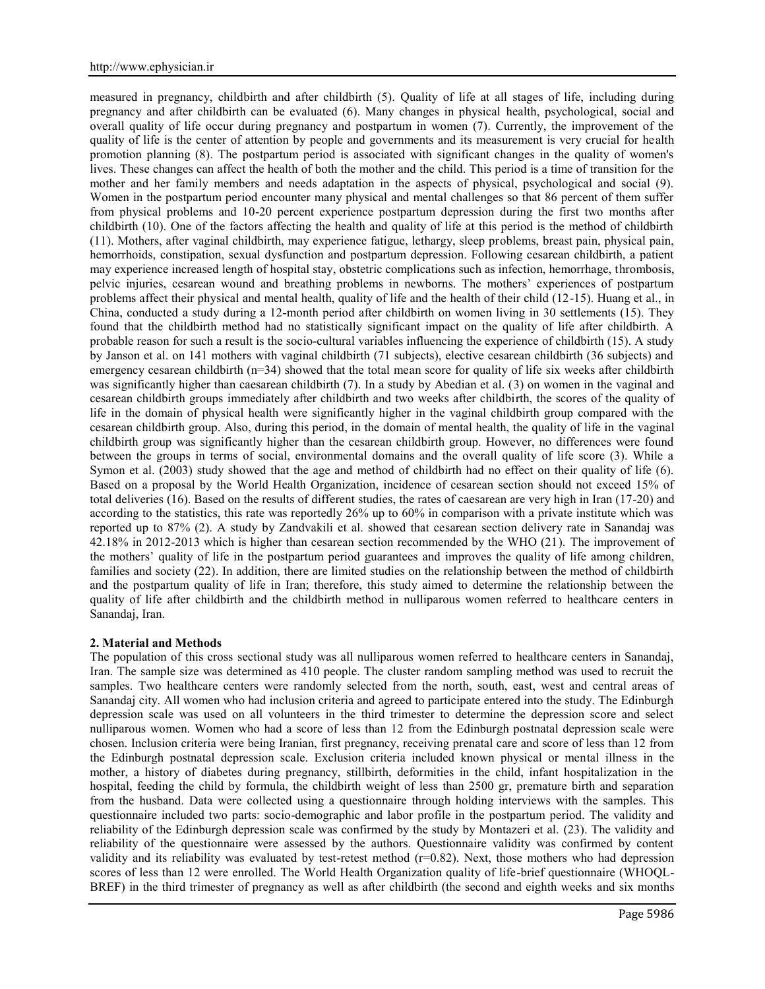measured in pregnancy, childbirth and after childbirth (5). Quality of life at all stages of life, including during pregnancy and after childbirth can be evaluated (6). Many changes in physical health, psychological, social and overall quality of life occur during pregnancy and postpartum in women (7). Currently, the improvement of the quality of life is the center of attention by people and governments and its measurement is very crucial for health promotion planning (8). The postpartum period is associated with significant changes in the quality of women's lives. These changes can affect the health of both the mother and the child. This period is a time of transition for the mother and her family members and needs adaptation in the aspects of physical, psychological and social (9). Women in the postpartum period encounter many physical and mental challenges so that 86 percent of them suffer from physical problems and 10-20 percent experience postpartum depression during the first two months after childbirth (10). One of the factors affecting the health and quality of life at this period is the method of childbirth (11). Mothers, after vaginal childbirth, may experience fatigue, lethargy, sleep problems, breast pain, physical pain, hemorrhoids, constipation, sexual dysfunction and postpartum depression. Following cesarean childbirth, a patient may experience increased length of hospital stay, obstetric complications such as infection, hemorrhage, thrombosis, pelvic injuries, cesarean wound and breathing problems in newborns. The mothers' experiences of postpartum problems affect their physical and mental health, quality of life and the health of their child (12-15). Huang et al., in China, conducted a study during a 12-month period after childbirth on women living in 30 settlements (15). They found that the childbirth method had no statistically significant impact on the quality of life after childbirth. A probable reason for such a result is the socio-cultural variables influencing the experience of childbirth (15). A study by Janson et al. on 141 mothers with vaginal childbirth (71 subjects), elective cesarean childbirth (36 subjects) and emergency cesarean childbirth  $(n=34)$  showed that the total mean score for quality of life six weeks after childbirth was significantly higher than caesarean childbirth (7). In a study by Abedian et al. (3) on women in the vaginal and cesarean childbirth groups immediately after childbirth and two weeks after childbirth, the scores of the quality of life in the domain of physical health were significantly higher in the vaginal childbirth group compared with the cesarean childbirth group. Also, during this period, in the domain of mental health, the quality of life in the vaginal childbirth group was significantly higher than the cesarean childbirth group. However, no differences were found between the groups in terms of social, environmental domains and the overall quality of life score (3). While a Symon et al. (2003) study showed that the age and method of childbirth had no effect on their quality of life (6). Based on a proposal by the World Health Organization, incidence of cesarean section should not exceed 15% of total deliveries (16). Based on the results of different studies, the rates of caesarean are very high in Iran (17-20) and according to the statistics, this rate was reportedly 26% up to 60% in comparison with a private institute which was reported up to 87% (2). A study by Zandvakili et al. showed that cesarean section delivery rate in Sanandaj was 42.18% in 2012-2013 which is higher than cesarean section recommended by the WHO (21). The improvement of the mothers' quality of life in the postpartum period guarantees and improves the quality of life among children, families and society (22). In addition, there are limited studies on the relationship between the method of childbirth and the postpartum quality of life in Iran; therefore, this study aimed to determine the relationship between the quality of life after childbirth and the childbirth method in nulliparous women referred to healthcare centers in Sanandaj, Iran.

### **2. Material and Methods**

The population of this cross sectional study was all nulliparous women referred to healthcare centers in Sanandaj, Iran. The sample size was determined as 410 people. The cluster random sampling method was used to recruit the samples. Two healthcare centers were randomly selected from the north, south, east, west and central areas of Sanandaj city. All women who had inclusion criteria and agreed to participate entered into the study. The Edinburgh depression scale was used on all volunteers in the third trimester to determine the depression score and select nulliparous women. Women who had a score of less than 12 from the Edinburgh postnatal depression scale were chosen. Inclusion criteria were being Iranian, first pregnancy, receiving prenatal care and score of less than 12 from the Edinburgh postnatal depression scale. Exclusion criteria included known physical or mental illness in the mother, a history of diabetes during pregnancy, stillbirth, deformities in the child, infant hospitalization in the hospital, feeding the child by formula, the childbirth weight of less than 2500 gr, premature birth and separation from the husband. Data were collected using a questionnaire through holding interviews with the samples. This questionnaire included two parts: socio-demographic and labor profile in the postpartum period. The validity and reliability of the Edinburgh depression scale was confirmed by the study by Montazeri et al. (23). The validity and reliability of the questionnaire were assessed by the authors. Questionnaire validity was confirmed by content validity and its reliability was evaluated by test-retest method  $(r=0.82)$ . Next, those mothers who had depression scores of less than 12 were enrolled. The World Health Organization quality of life-brief questionnaire (WHOQL- BREF) in the third trimester of pregnancy as well as after childbirth (the second and eighth weeks and six months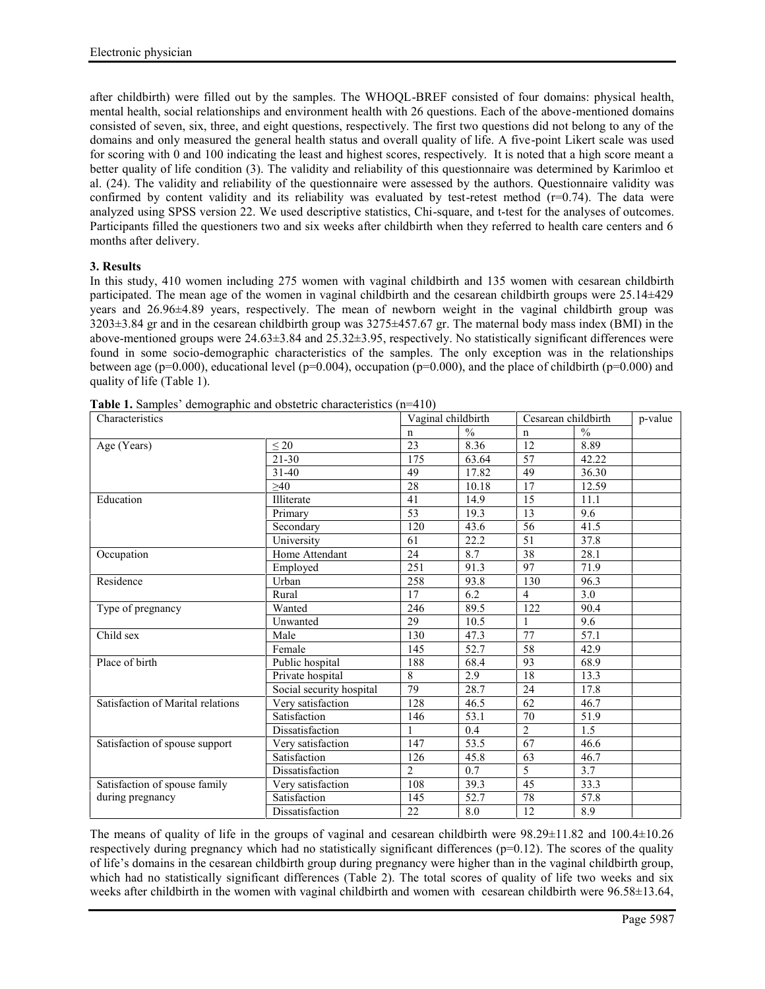after childbirth) were filled out by the samples. The WHOQL-BREF consisted of four domains: physical health, mental health, social relationships and environment health with 26 questions. Each of the above-mentioned domains consisted of seven, six, three, and eight questions, respectively. The first two questions did not belong to any of the domains and only measured the general health status and overall quality of life. A five-point Likert scale was used for scoring with 0 and 100 indicating the least and highest scores, respectively. It is noted that a high score meant a better quality of life condition (3). The validity and reliability of this questionnaire was determined by Karimloo et al. (24). The validity and reliability of the questionnaire were assessed by the authors. Questionnaire validity was confirmed by content validity and its reliability was evaluated by test-retest method  $(r=0.74)$ . The data were analyzed using SPSS version 22. We used descriptive statistics, Chi-square, and t-test for the analyses of outcomes. Participants filled the questioners two and six weeks after childbirth when they referred to health care centers and 6 months after delivery.

# **3. Results**

In this study, 410 women including 275 women with vaginal childbirth and 135 women with cesarean childbirth participated. The mean age of the women in vaginal childbirth and the cesarean childbirth groups were 25.14±429 years and 26.96±4.89 years, respectively. The mean of newborn weight in the vaginal childbirth group was 3203±3.84 gr and in the cesarean childbirth group was 3275±457.67 gr. The maternal body mass index (BMI) in the above-mentioned groups were 24.63±3.84 and 25.32±3.95, respectively. No statistically significant differences were found in some socio-demographic characteristics of the samples. The only exception was in the relationships between age (p=0.000), educational level (p=0.004), occupation (p=0.000), and the place of childbirth (p=0.000) and quality of life (Table 1).

| Characteristics                   |                          | Vaginal childbirth |               | Cesarean childbirth |               | p-value |
|-----------------------------------|--------------------------|--------------------|---------------|---------------------|---------------|---------|
|                                   |                          | n                  | $\frac{0}{0}$ | n                   | $\frac{0}{0}$ |         |
| Age (Years)                       | $\leq 20$                | 23                 | 8.36          | 12                  | 8.89          |         |
|                                   | $21 - 30$                | 175                | 63.64         | 57                  | 42.22         |         |
|                                   | $31 - 40$                | 49                 | 17.82         | 49                  | 36.30         |         |
|                                   | $\geq 40$                | 28                 | 10.18         | 17                  | 12.59         |         |
| Education                         | Illiterate               | 41                 | 14.9          | 15                  | 11.1          |         |
|                                   | Primary                  | 53                 | 19.3          | 13                  | 9.6           |         |
|                                   | Secondary                | 120                | 43.6          | 56                  | 41.5          |         |
|                                   | University               | 61                 | 22.2          | 51                  | 37.8          |         |
| Occupation                        | Home Attendant           | 24                 | 8.7           | 38                  | 28.1          |         |
|                                   | Employed                 | 251                | 91.3          | 97                  | 71.9          |         |
| Residence                         | Urban                    | 258                | 93.8          | 130                 | 96.3          |         |
|                                   | Rural                    | 17                 | 6.2           | $\overline{4}$      | 3.0           |         |
| Type of pregnancy                 | Wanted                   | 246                | 89.5          | 122                 | 90.4          |         |
|                                   | Unwanted                 | 29                 | 10.5          |                     | 9.6           |         |
| Child sex                         | Male                     | 130                | 47.3          | 77                  | 57.1          |         |
|                                   | Female                   | 145                | 52.7          | 58                  | 42.9          |         |
| Place of birth                    | Public hospital          | 188                | 68.4          | 93                  | 68.9          |         |
|                                   | Private hospital         | 8                  | 2.9           | 18                  | 13.3          |         |
|                                   | Social security hospital | 79                 | 28.7          | 24                  | 17.8          |         |
| Satisfaction of Marital relations | Very satisfaction        | 128                | 46.5          | 62                  | 46.7          |         |
|                                   | Satisfaction             | 146                | 53.1          | 70                  | 51.9          |         |
|                                   | Dissatisfaction          |                    | 0.4           | $\overline{2}$      | 1.5           |         |
| Satisfaction of spouse support    | Very satisfaction        | 147                | 53.5          | $\overline{67}$     | 46.6          |         |
|                                   | Satisfaction             | 126                | 45.8          | 63                  | 46.7          |         |
|                                   | Dissatisfaction          | $\overline{2}$     | 0.7           | 5                   | 3.7           |         |
| Satisfaction of spouse family     | Very satisfaction        | 108                | 39.3          | 45                  | 33.3          |         |
| during pregnancy                  | Satisfaction             | 145                | 52.7          | 78                  | 57.8          |         |
|                                   | Dissatisfaction          | 22                 | 8.0           | 12                  | 8.9           |         |

**Table 1.** Samples' demographic and obstetric characteristics (n=410)

The means of quality of life in the groups of vaginal and cesarean childbirth were 98.29±11.82 and 100.4±10.26 respectively during pregnancy which had no statistically significant differences ( $p=0.12$ ). The scores of the quality of life's domains in the cesarean childbirth group during pregnancy were higher than in the vaginal childbirth group, which had no statistically significant differences (Table 2). The total scores of quality of life two weeks and six weeks after childbirth in the women with vaginal childbirth and women with cesarean childbirth were 96.58±13.64,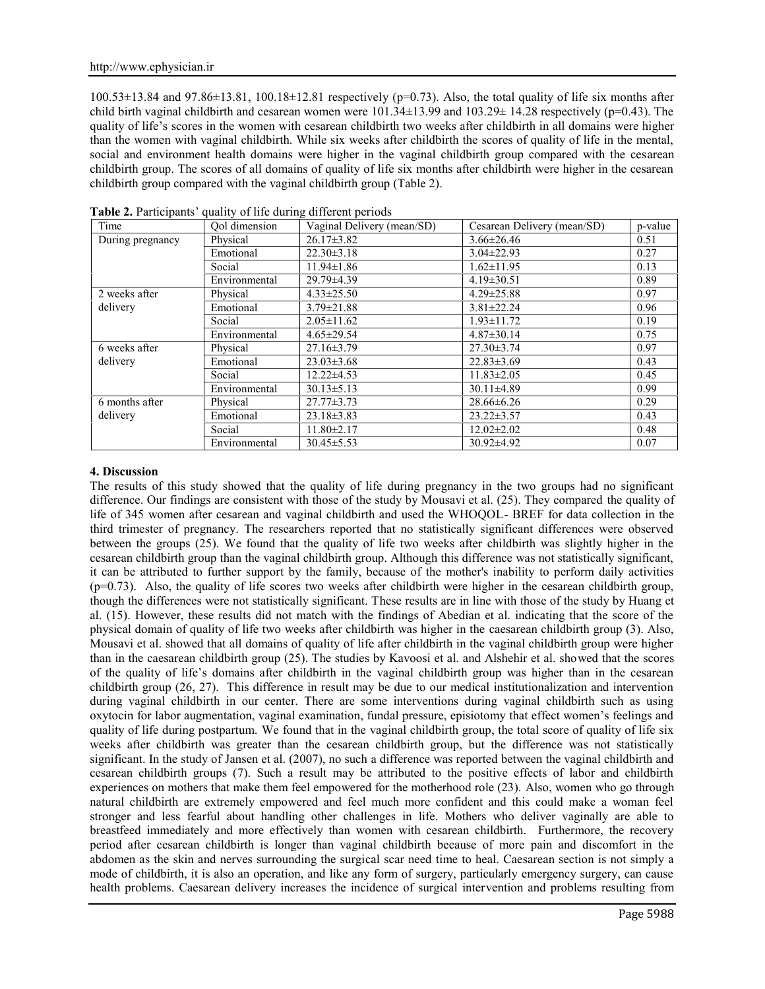$100.53\pm13.84$  and  $97.86\pm13.81$ ,  $100.18\pm12.81$  respectively (p=0.73). Also, the total quality of life six months after child birth vaginal childbirth and cesarean women were  $101.34\pm13.99$  and  $103.29\pm14.28$  respectively (p=0.43). The quality of life's scores in the women with cesarean childbirth two weeks after childbirth in all domains were higher than the women with vaginal childbirth. While six weeks after childbirth the scores of quality of life in the mental, social and environment health domains were higher in the vaginal childbirth group compared with the cesarean childbirth group. The scores of all domains of quality of life six months after childbirth were higher in the cesarean childbirth group compared with the vaginal childbirth group (Table 2).

| Time             | Qol dimension | Vaginal Delivery (mean/SD) | Cesarean Delivery (mean/SD) | p-value |
|------------------|---------------|----------------------------|-----------------------------|---------|
| During pregnancy | Physical      | $26.17 \pm 3.82$           | $3.66 \pm 26.46$            | 0.51    |
|                  | Emotional     | $22.30 \pm 3.18$           | $3.04 \pm 22.93$            | 0.27    |
|                  | Social        | $11.94 \pm 1.86$           | $1.62 \pm 11.95$            | 0.13    |
|                  | Environmental | 29.79±4.39                 | $4.19 \pm 30.51$            | 0.89    |
| 2 weeks after    | Physical      | $4.33 \pm 25.50$           | $4.29 \pm 25.88$            | 0.97    |
| delivery         | Emotional     | $3.79 \pm 21.88$           | $3.81 \pm 22.24$            | 0.96    |
|                  | Social        | $2.05 \pm 11.62$           | $1.93 \pm 11.72$            | 0.19    |
|                  | Environmental | $4.65 \pm 29.54$           | $4.87 \pm 30.14$            | 0.75    |
| 6 weeks after    | Physical      | $27.16 \pm 3.79$           | $27.30 \pm 3.74$            | 0.97    |
| delivery         | Emotional     | $23.03 \pm 3.68$           | $22.83 \pm 3.69$            | 0.43    |
|                  | Social        | $12.22 \pm 4.53$           | $11.83 \pm 2.05$            | 0.45    |
|                  | Environmental | $30.13 \pm 5.13$           | $30.11 \pm 4.89$            | 0.99    |
| 6 months after   | Physical      | $27.77 \pm 3.73$           | $28.66\pm 6.26$             | 0.29    |
| delivery         | Emotional     | $23.18 \pm 3.83$           | $23.22 \pm 3.57$            | 0.43    |
|                  | Social        | $11.80 \pm 2.17$           | $12.02 \pm 2.02$            | 0.48    |
|                  | Environmental | $30.45 \pm 5.53$           | $30.92 \pm 4.92$            | 0.07    |

**Table 2.** Participants' quality of life during different periods

### **4. Discussion**

The results of this study showed that the quality of life during pregnancy in the two groups had no significant difference. Our findings are consistent with those of the study by Mousavi et al. (25). They compared the quality of life of 345 women after cesarean and vaginal childbirth and used the WHOQOL- BREF for data collection in the third trimester of pregnancy. The researchers reported that no statistically significant differences were observed between the groups (25). We found that the quality of life two weeks after childbirth was slightly higher in the cesarean childbirth group than the vaginal childbirth group. Although this difference was not statistically significant, it can be attributed to further support by the family, because of the mother's inability to perform daily activities (p=0.73). Also, the quality of life scores two weeks after childbirth were higher in the cesarean childbirth group, though the differences were not statistically significant. These results are in line with those of the study by Huang et al. (15). However, these results did not match with the findings of Abedian et al. indicating that the score of the physical domain of quality of life two weeks after childbirth was higher in the caesarean childbirth group (3). Also, Mousavi et al. showed that all domains of quality of life after childbirth in the vaginal childbirth group were higher than in the caesarean childbirth group (25). The studies by Kavoosi et al. and Alshehir et al. showed that the scores of the quality of life's domains after childbirth in the vaginal childbirth group was higher than in the cesarean childbirth group (26, 27). This difference in result may be due to our medical institutionalization and intervention during vaginal childbirth in our center. There are some interventions during vaginal childbirth such as using oxytocin for labor augmentation, vaginal examination, fundal pressure, episiotomy that effect women's feelings and quality of life during postpartum. We found that in the vaginal childbirth group, the total score of quality of life six weeks after childbirth was greater than the cesarean childbirth group, but the difference was not statistically significant. In the study of Jansen et al. (2007), no such a difference was reported between the vaginal childbirth and cesarean childbirth groups (7). Such a result may be attributed to the positive effects of labor and childbirth experiences on mothers that make them feel empowered for the motherhood role (23). Also, women who go through natural childbirth are extremely empowered and feel much more confident and this could make a woman feel stronger and less fearful about handling other challenges in life. Mothers who deliver vaginally are able to breastfeed immediately and more effectively than women with cesarean childbirth. Furthermore, the recovery period after cesarean childbirth is longer than vaginal childbirth because of more pain and discomfort in the abdomen as the skin and nerves surrounding the surgical scar need time to heal. Caesarean section is not simply a mode of childbirth, it is also an operation, and like any form of surgery, particularly emergency surgery, can cause health problems. Caesarean delivery increases the incidence of surgical intervention and problems resulting from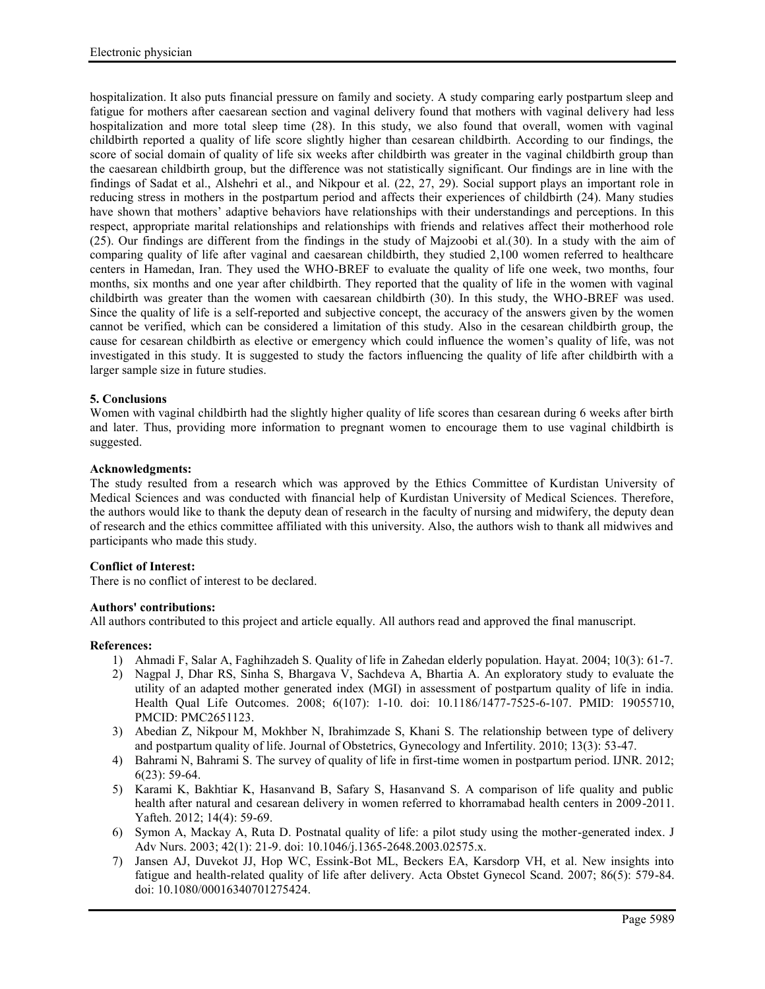hospitalization. It also puts financial pressure on family and society. A study comparing early postpartum sleep and fatigue for mothers after caesarean section and vaginal delivery found that mothers with vaginal delivery had less hospitalization and more total sleep time (28). In this study, we also found that overall, women with vaginal childbirth reported a quality of life score slightly higher than cesarean childbirth. According to our findings, the score of social domain of quality of life six weeks after childbirth was greater in the vaginal childbirth group than the caesarean childbirth group, but the difference was not statistically significant. Our findings are in line with the findings of Sadat et al., Alshehri et al., and Nikpour et al. (22, 27, 29). Social support plays an important role in reducing stress in mothers in the postpartum period and affects their experiences of childbirth (24). Many studies have shown that mothers' adaptive behaviors have relationships with their understandings and perceptions. In this respect, appropriate marital relationships and relationships with friends and relatives affect their motherhood role (25). Our findings are different from the findings in the study of Majzoobi et al.(30). In a study with the aim of comparing quality of life after vaginal and caesarean childbirth, they studied 2,100 women referred to healthcare centers in Hamedan, Iran. They used the WHO-BREF to evaluate the quality of life one week, two months, four months, six months and one year after childbirth. They reported that the quality of life in the women with vaginal childbirth was greater than the women with caesarean childbirth (30). In this study, the WHO-BREF was used. Since the quality of life is a self-reported and subjective concept, the accuracy of the answers given by the women cannot be verified, which can be considered a limitation of this study. Also in the cesarean childbirth group, the cause for cesarean childbirth as elective or emergency which could influence the women's quality of life, was not investigated in this study. It is suggested to study the factors influencing the quality of life after childbirth with a larger sample size in future studies.

# **5. Conclusions**

Women with vaginal childbirth had the slightly higher quality of life scores than cesarean during 6 weeks after birth and later. Thus, providing more information to pregnant women to encourage them to use vaginal childbirth is suggested.

## **Acknowledgments:**

The study resulted from a research which was approved by the Ethics Committee of Kurdistan University of Medical Sciences and was conducted with financial help of Kurdistan University of Medical Sciences. Therefore, the authors would like to thank the deputy dean of research in the faculty of nursing and midwifery, the deputy dean of research and the ethics committee affiliated with this university. Also, the authors wish to thank all midwives and participants who made this study.

## **Conflict of Interest:**

There is no conflict of interest to be declared.

## **Authors' contributions:**

All authors contributed to this project and article equally. All authors read and approved the final manuscript.

## **References:**

- 1) Ahmadi F, Salar A, Faghihzadeh S. Quality of life in Zahedan elderly population. Hayat. 2004; 10(3): 61-7.
- 2) Nagpal J, Dhar RS, Sinha S, Bhargava V, Sachdeva A, Bhartia A. An exploratory study to evaluate the utility of an adapted mother generated index (MGI) in assessment of postpartum quality of life in india. Health Qual Life Outcomes. 2008; 6(107): 1-10. doi: 10.1186/1477-7525-6-107. PMID: 19055710, PMCID: PMC2651123.
- 3) Abedian Z, Nikpour M, Mokhber N, Ibrahimzade S, Khani S. The relationship between type of delivery and postpartum quality of life. Journal of Obstetrics, Gynecology and Infertility. 2010; 13(3): 53-47.
- 4) Bahrami N, Bahrami S. The survey of quality of life in first-time women in postpartum period. IJNR. 2012; 6(23): 59-64.
- 5) Karami K, Bakhtiar K, Hasanvand B, Safary S, Hasanvand S. A comparison of life quality and public health after natural and cesarean delivery in women referred to khorramabad health centers in 2009-2011. Yafteh. 2012; 14(4): 59-69.
- 6) Symon A, Mackay A, Ruta D. Postnatal quality of life: a pilot study using the mother-generated index. J Adv Nurs. 2003; 42(1): 21-9. doi: 10.1046/j.1365-2648.2003.02575.x.
- 7) Jansen AJ, Duvekot JJ, Hop WC, Essink-Bot ML, Beckers EA, Karsdorp VH, et al. New insights into fatigue and health-related quality of life after delivery. Acta Obstet Gynecol Scand. 2007; 86(5): 579-84. doi: 10.1080/00016340701275424.